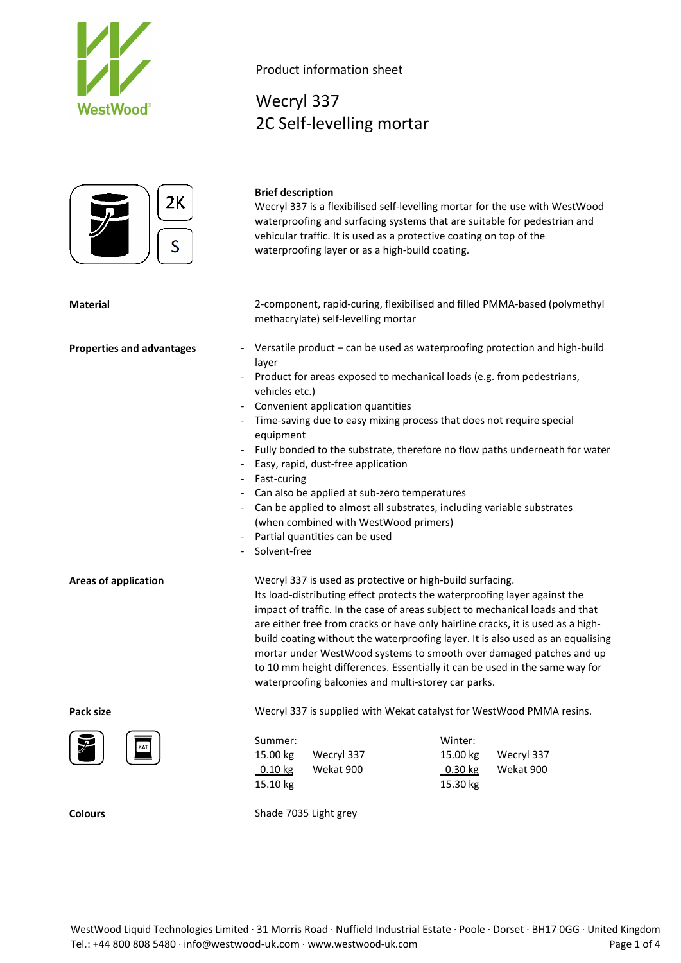



Product information sheet

**Brief description**

Wecryl 337 2C Self-levelling mortar

Wecryl 337 is a flexibilised self-levelling mortar for the use with WestWood

# waterproofing and surfacing systems that are suitable for pedestrian and vehicular traffic. It is used as a protective coating on top of the waterproofing layer or as a high-build coating. **Material** 2-component, rapid-curing, flexibilised and filled PMMA-based (polymethyl methacrylate) self-levelling mortar **Properties and advantages** - Versatile product – can be used as waterproofing protection and high-build layer Product for areas exposed to mechanical loads (e.g. from pedestrians, vehicles etc.) - Convenient application quantities - Time-saving due to easy mixing process that does not require special equipment - Fully bonded to the substrate, therefore no flow paths underneath for water - Easy, rapid, dust-free application - Fast-curing Can also be applied at sub-zero temperatures - Can be applied to almost all substrates, including variable substrates (when combined with WestWood primers) Partial quantities can be used - Solvent-free **Areas of application** Wecryl 337 is used as protective or high-build surfacing. Its load-distributing effect protects the waterproofing layer against the impact of traffic. In the case of areas subject to mechanical loads and that are either free from cracks or have only hairline cracks, it is used as a highbuild coating without the waterproofing layer. It is also used as an equalising mortar under WestWood systems to smooth over damaged patches and up to 10 mm height differences. Essentially it can be used in the same way for waterproofing balconies and multi-storey car parks. **Pack size** Mecryl 337 is supplied with Wekat catalyst for WestWood PMMA resins. Summer: Winter: 15.00 kg Wecryl 337 15.00 kg Wecryl 337 0.10 kg Wekat 900 0.30 kg Wekat 900 15.10 kg 15.30 kg

**Colours** Shade 7035 Light grey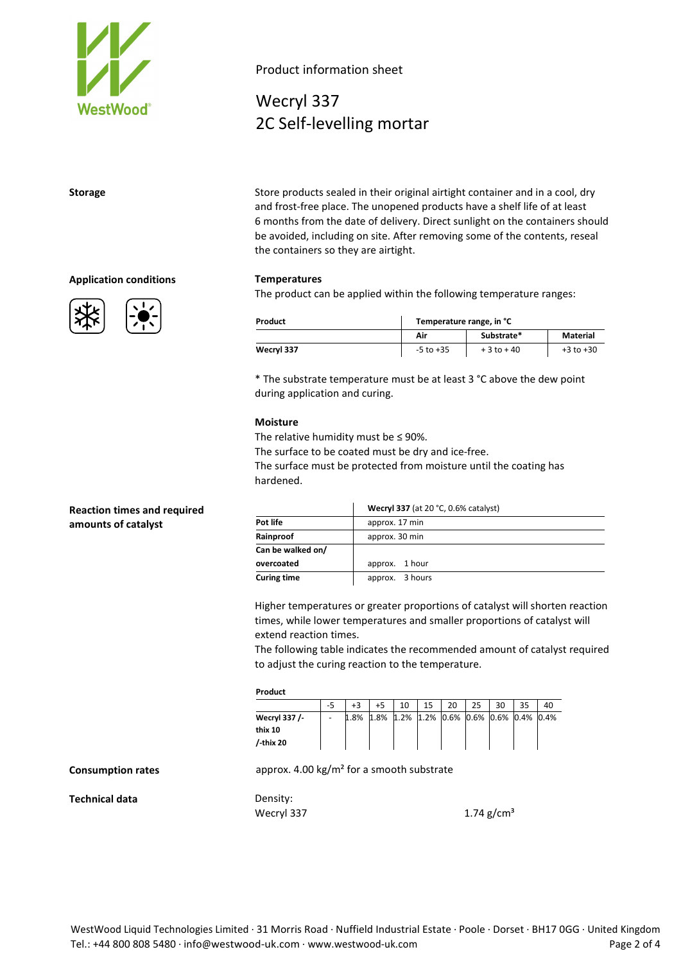

**Application conditions Temperatures**



# Product information sheet

Wecryl 337 2C Self-levelling mortar

**Storage** Store products sealed in their original airtight container and in a cool, dry and frost-free place. The unopened products have a shelf life of at least 6 months from the date of delivery. Direct sunlight on the containers should be avoided, including on site. After removing some of the contents, reseal the containers so they are airtight.

The product can be applied within the following temperature ranges:

| Product    | Temperature range, in °C |               |               |  |  |
|------------|--------------------------|---------------|---------------|--|--|
|            | Air                      | Substrate*    | Material      |  |  |
| Wecryl 337 | $-5$ to $+35$            | $+3$ to $+40$ | $+3$ to $+30$ |  |  |

\* The substrate temperature must be at least 3 °C above the dew point during application and curing.

### **Moisture**

The relative humidity must be  $\leq$  90%.

The surface to be coated must be dry and ice-free. The surface must be protected from moisture until the coating has hardened.

|                    | Wecryl 337 (at 20 °C, 0.6% catalyst) |  |  |  |  |
|--------------------|--------------------------------------|--|--|--|--|
| Pot life           | approx. 17 min                       |  |  |  |  |
| Rainproof          | approx. 30 min                       |  |  |  |  |
| Can be walked on/  |                                      |  |  |  |  |
| overcoated         | approx. 1 hour                       |  |  |  |  |
| <b>Curing time</b> | approx. 3 hours                      |  |  |  |  |

Higher temperatures or greater proportions of catalyst will shorten reaction times, while lower temperatures and smaller proportions of catalyst will extend reaction times.

The following table indicates the recommended amount of catalyst required to adjust the curing reaction to the temperature.

### **Product**

|               | -5                       |      |                                         | 10 | 20 | 30 | <b>DE</b> |  |
|---------------|--------------------------|------|-----------------------------------------|----|----|----|-----------|--|
| Wecryl 337 /- | $\overline{\phantom{0}}$ | 1.8% | 1.8% 1.2% 1.2% 0.6% 0.6% 0.6% 0.4% 0.4% |    |    |    |           |  |
| thix 10       |                          |      |                                         |    |    |    |           |  |
| /-thix 20     |                          |      |                                         |    |    |    |           |  |

**Consumption rates** approx. 4.00 kg/m<sup>2</sup> for a smooth substrate

**Technical data** Density:

Wecryl 337  $1.74 \text{ g/cm}^3$ 

**Reaction times and required amounts of catalyst**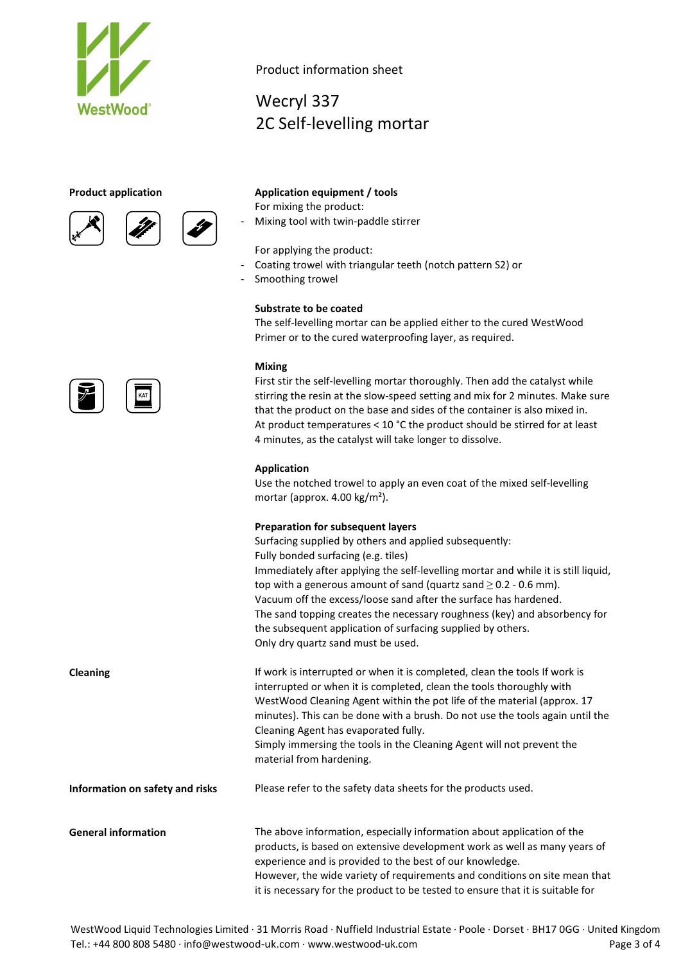





# Product information sheet

Wecryl 337 2C Self-levelling mortar

## **Product application Application equipment / tools**

For mixing the product:

Mixing tool with twin-paddle stirrer

For applying the product:

- Coating trowel with triangular teeth (notch pattern S2) or
- Smoothing trowel

## **Substrate to be coated**

The self-levelling mortar can be applied either to the cured WestWood Primer or to the cured waterproofing layer, as required.

## **Mixing**

First stir the self-levelling mortar thoroughly. Then add the catalyst while stirring the resin at the slow-speed setting and mix for 2 minutes. Make sure that the product on the base and sides of the container is also mixed in. At product temperatures < 10 °C the product should be stirred for at least 4 minutes, as the catalyst will take longer to dissolve.

### **Application**

Use the notched trowel to apply an even coat of the mixed self-levelling mortar (approx. 4.00 kg/m²).

## **Preparation for subsequent layers**

Surfacing supplied by others and applied subsequently: Fully bonded surfacing (e.g. tiles) Immediately after applying the self-levelling mortar and while it is still liquid, top with a generous amount of sand (quartz sand  $\geq$  0.2 - 0.6 mm). Vacuum off the excess/loose sand after the surface has hardened. The sand topping creates the necessary roughness (key) and absorbency for the subsequent application of surfacing supplied by others. Only dry quartz sand must be used.

**Cleaning If work is interrupted or when it is completed, clean the tools If work is completed, clean the tools If work is** interrupted or when it is completed, clean the tools thoroughly with WestWood Cleaning Agent within the pot life of the material (approx. 17 minutes). This can be done with a brush. Do not use the tools again until the Cleaning Agent has evaporated fully. Simply immersing the tools in the Cleaning Agent will not prevent the material from hardening.

## **Information on safety and risks** Please refer to the safety data sheets for the products used.

**General information** The above information, especially information about application of the products, is based on extensive development work as well as many years of experience and is provided to the best of our knowledge. However, the wide variety of requirements and conditions on site mean that it is necessary for the product to be tested to ensure that it is suitable for

WestWood Liquid Technologies Limited · 31 Morris Road · Nuffield Industrial Estate · Poole · Dorset · BH17 0GG · United Kingdom Tel.: +44 800 808 5480 · info@westwood-uk.com · www.westwood-uk.com example a set the page 3 of 4